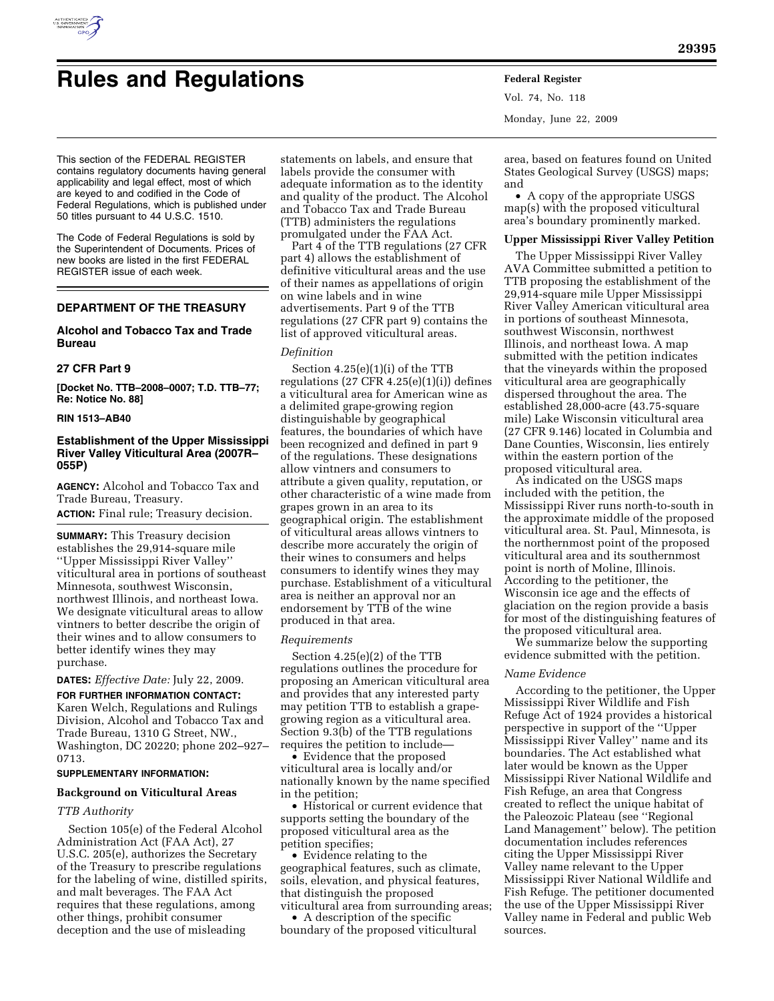

# **Rules and Regulations Federal Register**

Vol. 74, No. 118 Monday, June 22, 2009

This section of the FEDERAL REGISTER contains regulatory documents having general applicability and legal effect, most of which are keyed to and codified in the Code of Federal Regulations, which is published under 50 titles pursuant to 44 U.S.C. 1510.

The Code of Federal Regulations is sold by the Superintendent of Documents. Prices of new books are listed in the first FEDERAL REGISTER issue of each week.

# **DEPARTMENT OF THE TREASURY**

# **Alcohol and Tobacco Tax and Trade Bureau**

# **27 CFR Part 9**

**[Docket No. TTB–2008–0007; T.D. TTB–77; Re: Notice No. 88]** 

## **RIN 1513–AB40**

# **Establishment of the Upper Mississippi River Valley Viticultural Area (2007R– 055P)**

**AGENCY:** Alcohol and Tobacco Tax and Trade Bureau, Treasury.

**ACTION:** Final rule; Treasury decision.

**SUMMARY:** This Treasury decision establishes the 29,914-square mile ''Upper Mississippi River Valley'' viticultural area in portions of southeast Minnesota, southwest Wisconsin, northwest Illinois, and northeast Iowa. We designate viticultural areas to allow vintners to better describe the origin of their wines and to allow consumers to better identify wines they may purchase.

**DATES:** *Effective Date:* July 22, 2009.

**FOR FURTHER INFORMATION CONTACT:**  Karen Welch, Regulations and Rulings Division, Alcohol and Tobacco Tax and Trade Bureau, 1310 G Street, NW., Washington, DC 20220; phone 202–927– 0713.

# **SUPPLEMENTARY INFORMATION:**

# **Background on Viticultural Areas**

# *TTB Authority*

Section 105(e) of the Federal Alcohol Administration Act (FAA Act), 27 U.S.C. 205(e), authorizes the Secretary of the Treasury to prescribe regulations for the labeling of wine, distilled spirits, and malt beverages. The FAA Act requires that these regulations, among other things, prohibit consumer deception and the use of misleading

statements on labels, and ensure that labels provide the consumer with adequate information as to the identity and quality of the product. The Alcohol and Tobacco Tax and Trade Bureau (TTB) administers the regulations promulgated under the FAA Act.

Part 4 of the TTB regulations (27 CFR part 4) allows the establishment of definitive viticultural areas and the use of their names as appellations of origin on wine labels and in wine advertisements. Part 9 of the TTB regulations (27 CFR part 9) contains the list of approved viticultural areas.

# *Definition*

Section 4.25(e)(1)(i) of the TTB regulations  $(27 \text{ CFR } 4.25(e)(1)(i))$  defines a viticultural area for American wine as a delimited grape-growing region distinguishable by geographical features, the boundaries of which have been recognized and defined in part 9 of the regulations. These designations allow vintners and consumers to attribute a given quality, reputation, or other characteristic of a wine made from grapes grown in an area to its geographical origin. The establishment of viticultural areas allows vintners to describe more accurately the origin of their wines to consumers and helps consumers to identify wines they may purchase. Establishment of a viticultural area is neither an approval nor an endorsement by TTB of the wine produced in that area.

#### *Requirements*

Section 4.25(e)(2) of the TTB regulations outlines the procedure for proposing an American viticultural area and provides that any interested party may petition TTB to establish a grapegrowing region as a viticultural area. Section 9.3(b) of the TTB regulations requires the petition to include—

• Evidence that the proposed viticultural area is locally and/or nationally known by the name specified in the petition;

• Historical or current evidence that supports setting the boundary of the proposed viticultural area as the petition specifies;

• Evidence relating to the geographical features, such as climate, soils, elevation, and physical features, that distinguish the proposed viticultural area from surrounding areas;

• A description of the specific boundary of the proposed viticultural

area, based on features found on United States Geological Survey (USGS) maps; and

• A copy of the appropriate USGS map(s) with the proposed viticultural area's boundary prominently marked.

# **Upper Mississippi River Valley Petition**

The Upper Mississippi River Valley AVA Committee submitted a petition to TTB proposing the establishment of the 29,914-square mile Upper Mississippi River Valley American viticultural area in portions of southeast Minnesota, southwest Wisconsin, northwest Illinois, and northeast Iowa. A map submitted with the petition indicates that the vineyards within the proposed viticultural area are geographically dispersed throughout the area. The established 28,000-acre (43.75-square mile) Lake Wisconsin viticultural area (27 CFR 9.146) located in Columbia and Dane Counties, Wisconsin, lies entirely within the eastern portion of the proposed viticultural area.

As indicated on the USGS maps included with the petition, the Mississippi River runs north-to-south in the approximate middle of the proposed viticultural area. St. Paul, Minnesota, is the northernmost point of the proposed viticultural area and its southernmost point is north of Moline, Illinois. According to the petitioner, the Wisconsin ice age and the effects of glaciation on the region provide a basis for most of the distinguishing features of the proposed viticultural area.

We summarize below the supporting evidence submitted with the petition.

### *Name Evidence*

According to the petitioner, the Upper Mississippi River Wildlife and Fish Refuge Act of 1924 provides a historical perspective in support of the ''Upper Mississippi River Valley'' name and its boundaries. The Act established what later would be known as the Upper Mississippi River National Wildlife and Fish Refuge, an area that Congress created to reflect the unique habitat of the Paleozoic Plateau (see ''Regional Land Management'' below). The petition documentation includes references citing the Upper Mississippi River Valley name relevant to the Upper Mississippi River National Wildlife and Fish Refuge. The petitioner documented the use of the Upper Mississippi River Valley name in Federal and public Web sources.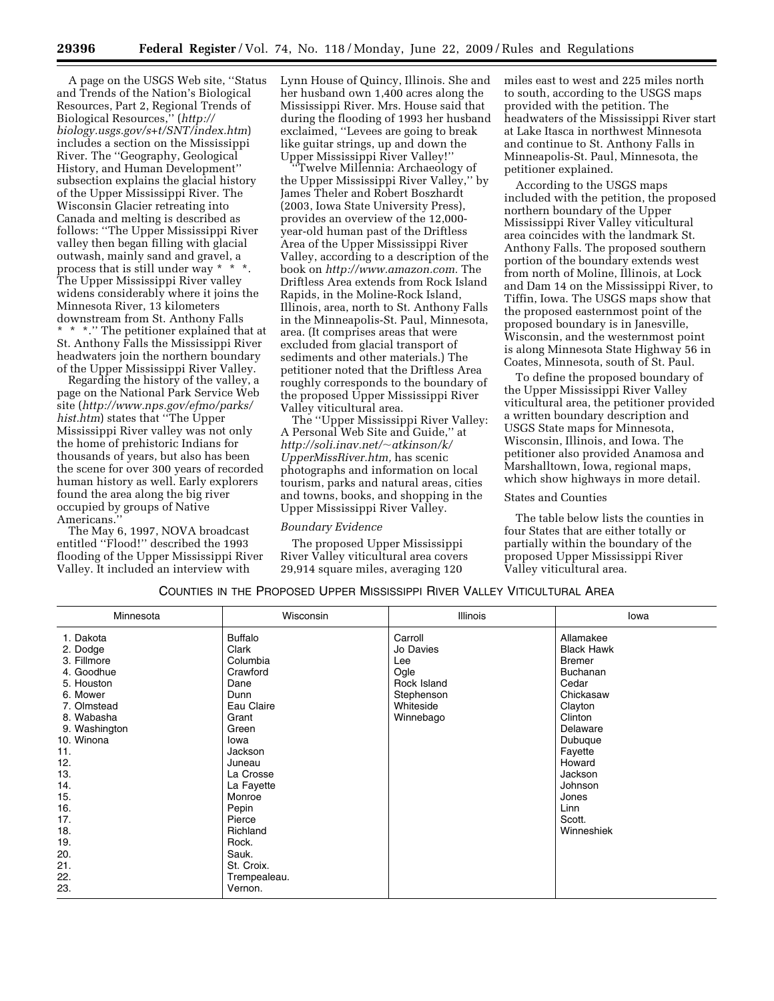A page on the USGS Web site, ''Status and Trends of the Nation's Biological Resources, Part 2, Regional Trends of Biological Resources,'' (*http:// biology.usgs.gov/s+t/SNT/index.htm*) includes a section on the Mississippi River. The ''Geography, Geological History, and Human Development'' subsection explains the glacial history of the Upper Mississippi River. The Wisconsin Glacier retreating into Canada and melting is described as follows: ''The Upper Mississippi River valley then began filling with glacial outwash, mainly sand and gravel, a process that is still under way \* \* \*. The Upper Mississippi River valley widens considerably where it joins the Minnesota River, 13 kilometers downstream from St. Anthony Falls \* \* \*.'' The petitioner explained that at St. Anthony Falls the Mississippi River headwaters join the northern boundary of the Upper Mississippi River Valley.

Regarding the history of the valley, a page on the National Park Service Web site (*http://www.nps.gov/efmo/parks/ hist.htm*) states that ''The Upper Mississippi River valley was not only the home of prehistoric Indians for thousands of years, but also has been the scene for over 300 years of recorded human history as well. Early explorers found the area along the big river occupied by groups of Native Americans.

The May 6, 1997, NOVA broadcast entitled ''Flood!'' described the 1993 flooding of the Upper Mississippi River Valley. It included an interview with

Lynn House of Quincy, Illinois. She and her husband own 1,400 acres along the Mississippi River. Mrs. House said that during the flooding of 1993 her husband exclaimed, ''Levees are going to break like guitar strings, up and down the Upper Mississippi River Valley!''

Twelve Millennia: Archaeology of the Upper Mississippi River Valley,'' by James Theler and Robert Boszhardt (2003, Iowa State University Press), provides an overview of the 12,000 year-old human past of the Driftless Area of the Upper Mississippi River Valley, according to a description of the book on *http://www.amazon.com.* The Driftless Area extends from Rock Island Rapids, in the Moline-Rock Island, Illinois, area, north to St. Anthony Falls in the Minneapolis-St. Paul, Minnesota, area. (It comprises areas that were excluded from glacial transport of sediments and other materials.) The petitioner noted that the Driftless Area roughly corresponds to the boundary of the proposed Upper Mississippi River Valley viticultural area.

The ''Upper Mississippi River Valley: A Personal Web Site and Guide,'' at *http://soli.inav.net/*~*atkinson/k/ UpperMissRiver.htm,* has scenic photographs and information on local tourism, parks and natural areas, cities and towns, books, and shopping in the Upper Mississippi River Valley.

# *Boundary Evidence*

The proposed Upper Mississippi River Valley viticultural area covers 29,914 square miles, averaging 120

miles east to west and 225 miles north to south, according to the USGS maps provided with the petition. The headwaters of the Mississippi River start at Lake Itasca in northwest Minnesota and continue to St. Anthony Falls in Minneapolis-St. Paul, Minnesota, the petitioner explained.

According to the USGS maps included with the petition, the proposed northern boundary of the Upper Mississippi River Valley viticultural area coincides with the landmark St. Anthony Falls. The proposed southern portion of the boundary extends west from north of Moline, Illinois, at Lock and Dam 14 on the Mississippi River, to Tiffin, Iowa. The USGS maps show that the proposed easternmost point of the proposed boundary is in Janesville, Wisconsin, and the westernmost point is along Minnesota State Highway 56 in Coates, Minnesota, south of St. Paul.

To define the proposed boundary of the Upper Mississippi River Valley viticultural area, the petitioner provided a written boundary description and USGS State maps for Minnesota, Wisconsin, Illinois, and Iowa. The petitioner also provided Anamosa and Marshalltown, Iowa, regional maps, which show highways in more detail.

#### States and Counties

The table below lists the counties in four States that are either totally or partially within the boundary of the proposed Upper Mississippi River Valley viticultural area.

# COUNTIES IN THE PROPOSED UPPER MISSISSIPPI RIVER VALLEY VITICULTURAL AREA

| Minnesota                                                                                                                                                                                                                           | Wisconsin                                                                                                                                                                                                                                                   | <b>Illinois</b>                                                                            | lowa                                                                                                                                                                                                               |
|-------------------------------------------------------------------------------------------------------------------------------------------------------------------------------------------------------------------------------------|-------------------------------------------------------------------------------------------------------------------------------------------------------------------------------------------------------------------------------------------------------------|--------------------------------------------------------------------------------------------|--------------------------------------------------------------------------------------------------------------------------------------------------------------------------------------------------------------------|
| 1. Dakota<br>2. Dodge<br>3. Fillmore<br>4. Goodhue<br>5. Houston<br>6. Mower<br>7. Olmstead<br>8. Wabasha<br>9. Washington<br>10. Winona<br>11.<br>12.<br>13.<br>14.<br>15.<br>16.<br>17.<br>18.<br>19.<br>20.<br>21.<br>22.<br>23. | <b>Buffalo</b><br>Clark<br>Columbia<br>Crawford<br>Dane<br>Dunn<br>Eau Claire<br>Grant<br>Green<br>Iowa<br>Jackson<br>Juneau<br>La Crosse<br>La Fayette<br>Monroe<br>Pepin<br>Pierce<br>Richland<br>Rock.<br>Sauk.<br>St. Croix.<br>Trempealeau.<br>Vernon. | Carroll<br>Jo Davies<br>Lee<br>Ogle<br>Rock Island<br>Stephenson<br>Whiteside<br>Winnebago | Allamakee<br><b>Black Hawk</b><br><b>Bremer</b><br>Buchanan<br>Cedar<br>Chickasaw<br>Clayton<br>Clinton<br>Delaware<br>Dubuque<br>Fayette<br>Howard<br>Jackson<br>Johnson<br>Jones<br>Linn<br>Scott.<br>Winneshiek |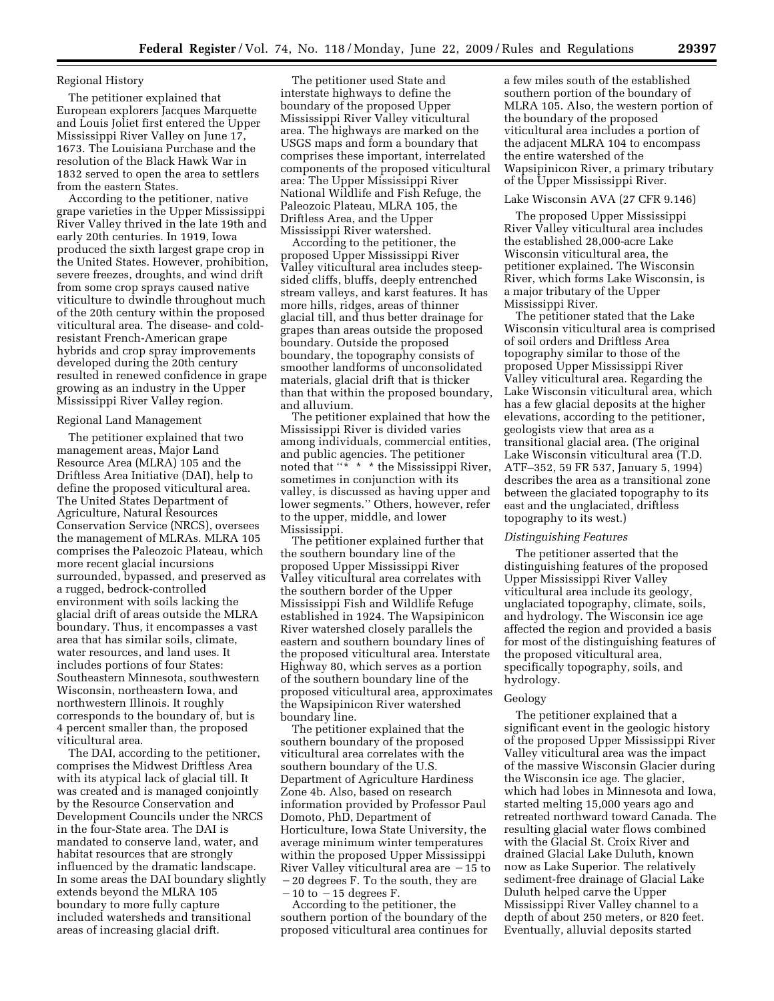# Regional History

The petitioner explained that European explorers Jacques Marquette and Louis Joliet first entered the Upper Mississippi River Valley on June 17, 1673. The Louisiana Purchase and the resolution of the Black Hawk War in 1832 served to open the area to settlers from the eastern States.

According to the petitioner, native grape varieties in the Upper Mississippi River Valley thrived in the late 19th and early 20th centuries. In 1919, Iowa produced the sixth largest grape crop in the United States. However, prohibition, severe freezes, droughts, and wind drift from some crop sprays caused native viticulture to dwindle throughout much of the 20th century within the proposed viticultural area. The disease- and coldresistant French-American grape hybrids and crop spray improvements developed during the 20th century resulted in renewed confidence in grape growing as an industry in the Upper Mississippi River Valley region.

## Regional Land Management

The petitioner explained that two management areas, Major Land Resource Area (MLRA) 105 and the Driftless Area Initiative (DAI), help to define the proposed viticultural area. The United States Department of Agriculture, Natural Resources Conservation Service (NRCS), oversees the management of MLRAs. MLRA 105 comprises the Paleozoic Plateau, which more recent glacial incursions surrounded, bypassed, and preserved as a rugged, bedrock-controlled environment with soils lacking the glacial drift of areas outside the MLRA boundary. Thus, it encompasses a vast area that has similar soils, climate, water resources, and land uses. It includes portions of four States: Southeastern Minnesota, southwestern Wisconsin, northeastern Iowa, and northwestern Illinois. It roughly corresponds to the boundary of, but is 4 percent smaller than, the proposed viticultural area.

The DAI, according to the petitioner, comprises the Midwest Driftless Area with its atypical lack of glacial till. It was created and is managed conjointly by the Resource Conservation and Development Councils under the NRCS in the four-State area. The DAI is mandated to conserve land, water, and habitat resources that are strongly influenced by the dramatic landscape. In some areas the DAI boundary slightly extends beyond the MLRA 105 boundary to more fully capture included watersheds and transitional areas of increasing glacial drift.

The petitioner used State and interstate highways to define the boundary of the proposed Upper Mississippi River Valley viticultural area. The highways are marked on the USGS maps and form a boundary that comprises these important, interrelated components of the proposed viticultural area: The Upper Mississippi River National Wildlife and Fish Refuge, the Paleozoic Plateau, MLRA 105, the Driftless Area, and the Upper Mississippi River watershed.

According to the petitioner, the proposed Upper Mississippi River Valley viticultural area includes steepsided cliffs, bluffs, deeply entrenched stream valleys, and karst features. It has more hills, ridges, areas of thinner glacial till, and thus better drainage for grapes than areas outside the proposed boundary. Outside the proposed boundary, the topography consists of smoother landforms of unconsolidated materials, glacial drift that is thicker than that within the proposed boundary, and alluvium.

The petitioner explained that how the Mississippi River is divided varies among individuals, commercial entities, and public agencies. The petitioner noted that "\* \* \* the Mississippi River, sometimes in conjunction with its valley, is discussed as having upper and lower segments.'' Others, however, refer to the upper, middle, and lower Mississippi.

The petitioner explained further that the southern boundary line of the proposed Upper Mississippi River Valley viticultural area correlates with the southern border of the Upper Mississippi Fish and Wildlife Refuge established in 1924. The Wapsipinicon River watershed closely parallels the eastern and southern boundary lines of the proposed viticultural area. Interstate Highway 80, which serves as a portion of the southern boundary line of the proposed viticultural area, approximates the Wapsipinicon River watershed boundary line.

The petitioner explained that the southern boundary of the proposed viticultural area correlates with the southern boundary of the U.S. Department of Agriculture Hardiness Zone 4b. Also, based on research information provided by Professor Paul Domoto, PhD, Department of Horticulture, Iowa State University, the average minimum winter temperatures within the proposed Upper Mississippi River Valley viticultural area are  $-15$  to  $-20$  degrees F. To the south, they are  $-10$  to  $-15$  degrees F.

According to the petitioner, the southern portion of the boundary of the proposed viticultural area continues for a few miles south of the established southern portion of the boundary of MLRA 105. Also, the western portion of the boundary of the proposed viticultural area includes a portion of the adjacent MLRA 104 to encompass the entire watershed of the Wapsipinicon River, a primary tributary of the Upper Mississippi River.

## Lake Wisconsin AVA (27 CFR 9.146)

The proposed Upper Mississippi River Valley viticultural area includes the established 28,000-acre Lake Wisconsin viticultural area, the petitioner explained. The Wisconsin River, which forms Lake Wisconsin, is a major tributary of the Upper Mississippi River.

The petitioner stated that the Lake Wisconsin viticultural area is comprised of soil orders and Driftless Area topography similar to those of the proposed Upper Mississippi River Valley viticultural area. Regarding the Lake Wisconsin viticultural area, which has a few glacial deposits at the higher elevations, according to the petitioner, geologists view that area as a transitional glacial area. (The original Lake Wisconsin viticultural area (T.D. ATF–352, 59 FR 537, January 5, 1994) describes the area as a transitional zone between the glaciated topography to its east and the unglaciated, driftless topography to its west.)

## *Distinguishing Features*

The petitioner asserted that the distinguishing features of the proposed Upper Mississippi River Valley viticultural area include its geology, unglaciated topography, climate, soils, and hydrology. The Wisconsin ice age affected the region and provided a basis for most of the distinguishing features of the proposed viticultural area, specifically topography, soils, and hydrology.

## Geology

The petitioner explained that a significant event in the geologic history of the proposed Upper Mississippi River Valley viticultural area was the impact of the massive Wisconsin Glacier during the Wisconsin ice age. The glacier, which had lobes in Minnesota and Iowa, started melting 15,000 years ago and retreated northward toward Canada. The resulting glacial water flows combined with the Glacial St. Croix River and drained Glacial Lake Duluth, known now as Lake Superior. The relatively sediment-free drainage of Glacial Lake Duluth helped carve the Upper Mississippi River Valley channel to a depth of about 250 meters, or 820 feet. Eventually, alluvial deposits started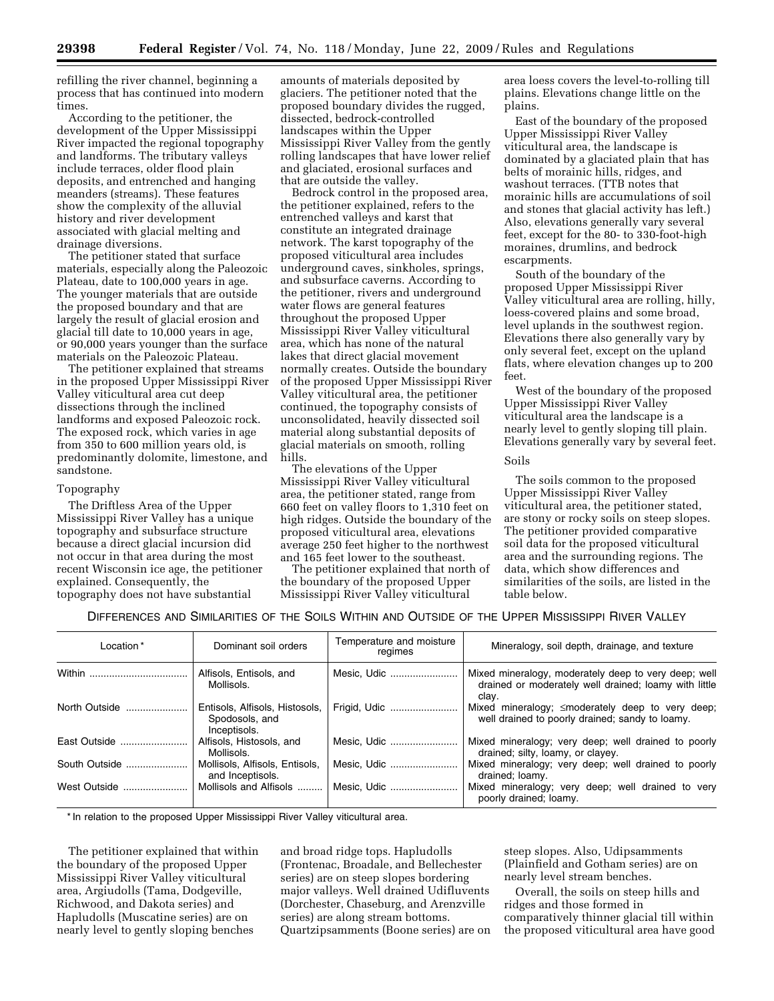refilling the river channel, beginning a process that has continued into modern times.

According to the petitioner, the development of the Upper Mississippi River impacted the regional topography and landforms. The tributary valleys include terraces, older flood plain deposits, and entrenched and hanging meanders (streams). These features show the complexity of the alluvial history and river development associated with glacial melting and drainage diversions.

The petitioner stated that surface materials, especially along the Paleozoic Plateau, date to 100,000 years in age. The younger materials that are outside the proposed boundary and that are largely the result of glacial erosion and glacial till date to 10,000 years in age, or 90,000 years younger than the surface materials on the Paleozoic Plateau.

The petitioner explained that streams in the proposed Upper Mississippi River Valley viticultural area cut deep dissections through the inclined landforms and exposed Paleozoic rock. The exposed rock, which varies in age from 350 to 600 million years old, is predominantly dolomite, limestone, and sandstone.

#### Topography

The Driftless Area of the Upper Mississippi River Valley has a unique topography and subsurface structure because a direct glacial incursion did not occur in that area during the most recent Wisconsin ice age, the petitioner explained. Consequently, the topography does not have substantial

amounts of materials deposited by glaciers. The petitioner noted that the proposed boundary divides the rugged, dissected, bedrock-controlled landscapes within the Upper Mississippi River Valley from the gently rolling landscapes that have lower relief and glaciated, erosional surfaces and that are outside the valley.

Bedrock control in the proposed area, the petitioner explained, refers to the entrenched valleys and karst that constitute an integrated drainage network. The karst topography of the proposed viticultural area includes underground caves, sinkholes, springs, and subsurface caverns. According to the petitioner, rivers and underground water flows are general features throughout the proposed Upper Mississippi River Valley viticultural area, which has none of the natural lakes that direct glacial movement normally creates. Outside the boundary of the proposed Upper Mississippi River Valley viticultural area, the petitioner continued, the topography consists of unconsolidated, heavily dissected soil material along substantial deposits of glacial materials on smooth, rolling hills.

The elevations of the Upper Mississippi River Valley viticultural area, the petitioner stated, range from 660 feet on valley floors to 1,310 feet on high ridges. Outside the boundary of the proposed viticultural area, elevations average 250 feet higher to the northwest and 165 feet lower to the southeast.

The petitioner explained that north of the boundary of the proposed Upper Mississippi River Valley viticultural

area loess covers the level-to-rolling till plains. Elevations change little on the plains.

East of the boundary of the proposed Upper Mississippi River Valley viticultural area, the landscape is dominated by a glaciated plain that has belts of morainic hills, ridges, and washout terraces. (TTB notes that morainic hills are accumulations of soil and stones that glacial activity has left.) Also, elevations generally vary several feet, except for the 80- to 330-foot-high moraines, drumlins, and bedrock escarpments.

South of the boundary of the proposed Upper Mississippi River Valley viticultural area are rolling, hilly, loess-covered plains and some broad, level uplands in the southwest region. Elevations there also generally vary by only several feet, except on the upland flats, where elevation changes up to 200 feet.

West of the boundary of the proposed Upper Mississippi River Valley viticultural area the landscape is a nearly level to gently sloping till plain. Elevations generally vary by several feet.

## Soils

The soils common to the proposed Upper Mississippi River Valley viticultural area, the petitioner stated, are stony or rocky soils on steep slopes. The petitioner provided comparative soil data for the proposed viticultural area and the surrounding regions. The data, which show differences and similarities of the soils, are listed in the table below.

## DIFFERENCES AND SIMILARITIES OF THE SOILS WITHIN AND OUTSIDE OF THE UPPER MISSISSIPPI RIVER VALLEY

| Location*     | Dominant soil orders                                             | Temperature and moisture<br>regimes | Mineralogy, soil depth, drainage, and texture                                                                          |
|---------------|------------------------------------------------------------------|-------------------------------------|------------------------------------------------------------------------------------------------------------------------|
|               | Alfisols, Entisols, and<br>Mollisols.                            | Mesic. Udic                         | Mixed mineralogy, moderately deep to very deep; well<br>drained or moderately well drained; loamy with little<br>clav. |
| North Outside | Entisols, Alfisols, Histosols,<br>Spodosols, and<br>Inceptisols. | Frigid, Udic                        | Mixed mineralogy; ≤moderately deep to very deep;<br>well drained to poorly drained; sandy to loamy.                    |
| East Outside  | Alfisols, Histosols, and<br>Mollisols.                           | Mesic. Udic                         | Mixed mineralogy; very deep; well drained to poorly<br>drained; silty, loamy, or clayey.                               |
| South Outside | Mollisols, Alfisols, Entisols,<br>and Inceptisols.               | Mesic, Udic                         | Mixed mineralogy; very deep; well drained to poorly<br>drained; loamy.                                                 |
| West Outside  | Mollisols and Alfisols                                           | Mesic. Udic                         | Mixed mineralogy; very deep; well drained to very<br>poorly drained; loamy.                                            |

\* In relation to the proposed Upper Mississippi River Valley viticultural area.

The petitioner explained that within the boundary of the proposed Upper Mississippi River Valley viticultural area, Argiudolls (Tama, Dodgeville, Richwood, and Dakota series) and Hapludolls (Muscatine series) are on nearly level to gently sloping benches

and broad ridge tops. Hapludolls (Frontenac, Broadale, and Bellechester series) are on steep slopes bordering major valleys. Well drained Udifluvents (Dorchester, Chaseburg, and Arenzville series) are along stream bottoms. Quartzipsamments (Boone series) are on steep slopes. Also, Udipsamments (Plainfield and Gotham series) are on nearly level stream benches.

Overall, the soils on steep hills and ridges and those formed in comparatively thinner glacial till within the proposed viticultural area have good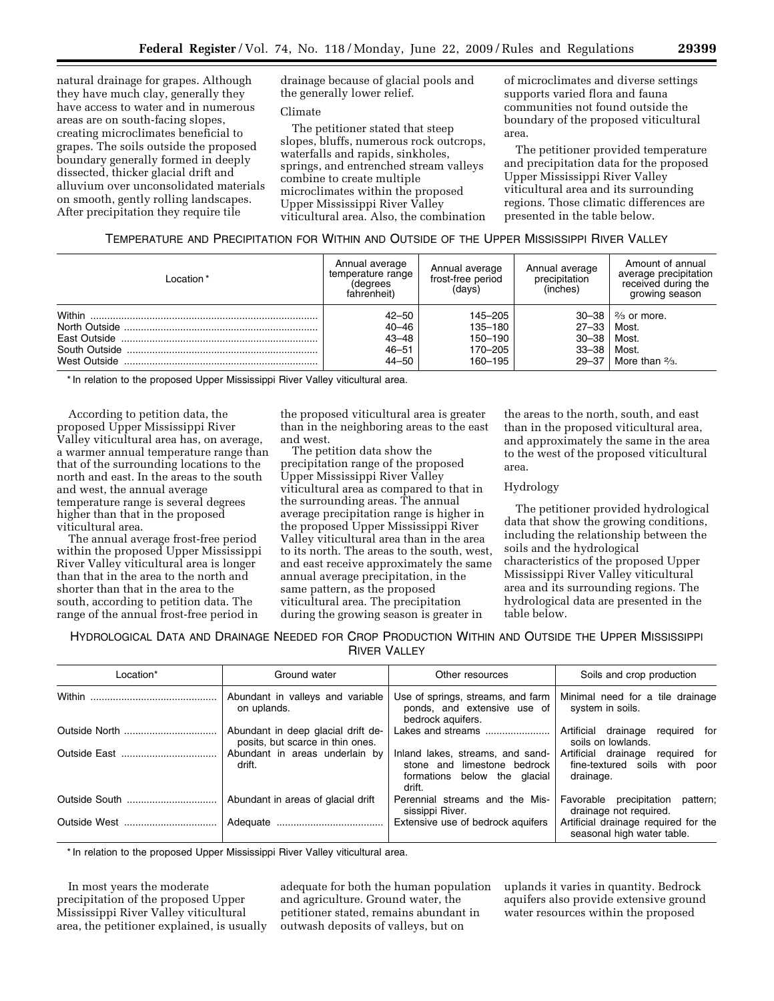natural drainage for grapes. Although they have much clay, generally they have access to water and in numerous areas are on south-facing slopes, creating microclimates beneficial to grapes. The soils outside the proposed boundary generally formed in deeply dissected, thicker glacial drift and alluvium over unconsolidated materials on smooth, gently rolling landscapes. After precipitation they require tile

drainage because of glacial pools and the generally lower relief.

# Climate

The petitioner stated that steep slopes, bluffs, numerous rock outcrops, waterfalls and rapids, sinkholes, springs, and entrenched stream valleys combine to create multiple microclimates within the proposed Upper Mississippi River Valley viticultural area. Also, the combination of microclimates and diverse settings supports varied flora and fauna communities not found outside the boundary of the proposed viticultural area.

The petitioner provided temperature and precipitation data for the proposed Upper Mississippi River Valley viticultural area and its surrounding regions. Those climatic differences are presented in the table below.

# TEMPERATURE AND PRECIPITATION FOR WITHIN AND OUTSIDE OF THE UPPER MISSISSIPPI RIVER VALLEY

| Location *             | Annual average<br>temperature range<br>(degrees<br>fahrenheit) | Annual average<br>frost-free period<br>(days)       | Annual average<br>precipitation<br>(inches)      | Amount of annual<br>average precipitation<br>received during the<br>growing season         |
|------------------------|----------------------------------------------------------------|-----------------------------------------------------|--------------------------------------------------|--------------------------------------------------------------------------------------------|
| Within<br>West Outside | $42 - 50$<br>$40 - 46$<br>$43 - 48$<br>$46 - 51$<br>44–50      | 145-205<br>135-180<br>150-190<br>170–205<br>160-195 | $27 - 33$<br>$30 - 38$<br>$33 - 38$<br>$29 - 37$ | $30 - 38$   $\frac{2}{3}$ or more.<br>Most.<br>Most.<br>Most.<br>More than $\frac{2}{3}$ . |

\* In relation to the proposed Upper Mississippi River Valley viticultural area.

According to petition data, the proposed Upper Mississippi River Valley viticultural area has, on average, a warmer annual temperature range than that of the surrounding locations to the north and east. In the areas to the south and west, the annual average temperature range is several degrees higher than that in the proposed viticultural area.

The annual average frost-free period within the proposed Upper Mississippi River Valley viticultural area is longer than that in the area to the north and shorter than that in the area to the south, according to petition data. The range of the annual frost-free period in

the proposed viticultural area is greater than in the neighboring areas to the east and west.

The petition data show the precipitation range of the proposed Upper Mississippi River Valley viticultural area as compared to that in the surrounding areas. The annual average precipitation range is higher in the proposed Upper Mississippi River Valley viticultural area than in the area to its north. The areas to the south, west, and east receive approximately the same annual average precipitation, in the same pattern, as the proposed viticultural area. The precipitation during the growing season is greater in

the areas to the north, south, and east than in the proposed viticultural area, and approximately the same in the area to the west of the proposed viticultural area.

# Hydrology

The petitioner provided hydrological data that show the growing conditions, including the relationship between the soils and the hydrological characteristics of the proposed Upper Mississippi River Valley viticultural area and its surrounding regions. The hydrological data are presented in the table below.

HYDROLOGICAL DATA AND DRAINAGE NEEDED FOR CROP PRODUCTION WITHIN AND OUTSIDE THE UPPER MISSISSIPPI RIVER VALLEY

| Location*     | Ground water                                                           | Other resources                                                                                              | Soils and crop production                                                         |
|---------------|------------------------------------------------------------------------|--------------------------------------------------------------------------------------------------------------|-----------------------------------------------------------------------------------|
|               | Abundant in valleys and variable<br>on uplands.                        | Use of springs, streams, and farm<br>ponds, and extensive use of<br>bedrock aguifers.                        | Minimal need for a tile drainage<br>system in soils.                              |
|               | Abundant in deep glacial drift de-<br>posits, but scarce in thin ones. | Lakes and streams                                                                                            | Artificial drainage<br>required for<br>soils on lowlands.                         |
|               | Abundant in areas underlain by<br>drift.                               | Inland lakes, streams, and sand-<br>stone and limestone bedrock<br>formations below the<br>qlacial<br>drift. | Artificial drainage<br>required for<br>fine-textured soils with poor<br>drainage. |
| Outside South | Abundant in areas of glacial drift                                     | Perennial streams and the Mis-<br>sissippi River.                                                            | Favorable precipitation<br>pattern;<br>drainage not reguired.                     |
|               |                                                                        | Extensive use of bedrock aguifers                                                                            | Artificial drainage required for the<br>seasonal high water table.                |

\* In relation to the proposed Upper Mississippi River Valley viticultural area.

In most years the moderate precipitation of the proposed Upper Mississippi River Valley viticultural area, the petitioner explained, is usually

adequate for both the human population and agriculture. Ground water, the petitioner stated, remains abundant in outwash deposits of valleys, but on

uplands it varies in quantity. Bedrock aquifers also provide extensive ground water resources within the proposed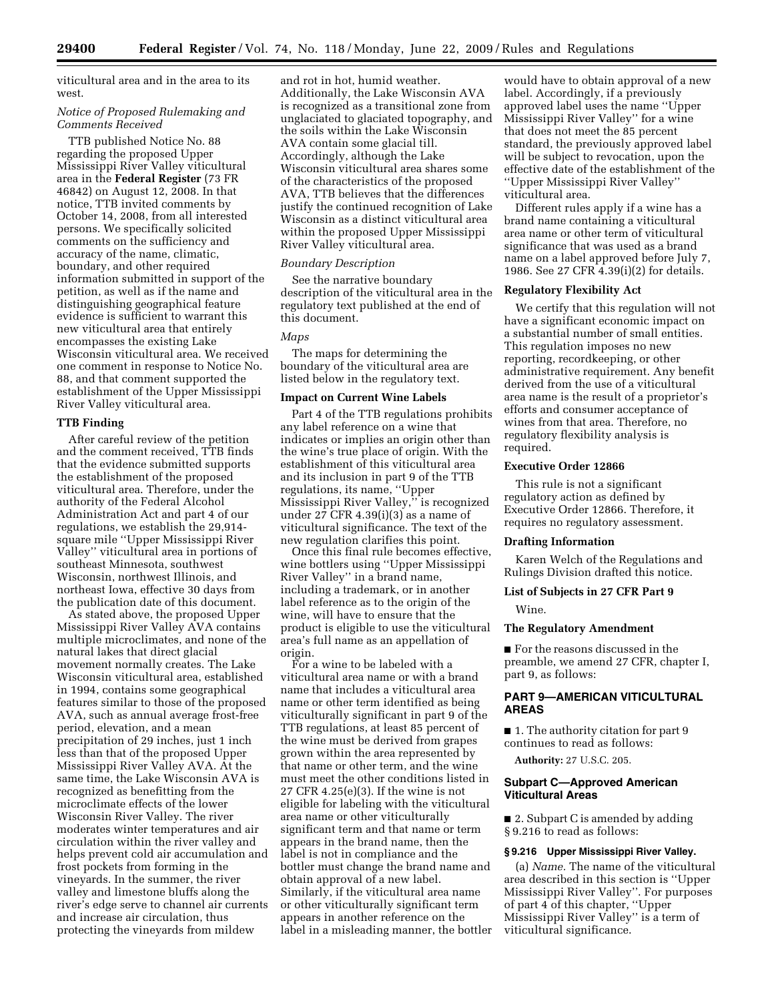viticultural area and in the area to its west.

## *Notice of Proposed Rulemaking and Comments Received*

TTB published Notice No. 88 regarding the proposed Upper Mississippi River Valley viticultural area in the **Federal Register** (73 FR 46842) on August 12, 2008. In that notice, TTB invited comments by October 14, 2008, from all interested persons. We specifically solicited comments on the sufficiency and accuracy of the name, climatic, boundary, and other required information submitted in support of the petition, as well as if the name and distinguishing geographical feature evidence is sufficient to warrant this new viticultural area that entirely encompasses the existing Lake Wisconsin viticultural area. We received one comment in response to Notice No. 88, and that comment supported the establishment of the Upper Mississippi River Valley viticultural area.

## **TTB Finding**

After careful review of the petition and the comment received, TTB finds that the evidence submitted supports the establishment of the proposed viticultural area. Therefore, under the authority of the Federal Alcohol Administration Act and part 4 of our regulations, we establish the 29,914 square mile ''Upper Mississippi River Valley'' viticultural area in portions of southeast Minnesota, southwest Wisconsin, northwest Illinois, and northeast Iowa, effective 30 days from the publication date of this document.

As stated above, the proposed Upper Mississippi River Valley AVA contains multiple microclimates, and none of the natural lakes that direct glacial movement normally creates. The Lake Wisconsin viticultural area, established in 1994, contains some geographical features similar to those of the proposed AVA, such as annual average frost-free period, elevation, and a mean precipitation of 29 inches, just 1 inch less than that of the proposed Upper Mississippi River Valley AVA. At the same time, the Lake Wisconsin AVA is recognized as benefitting from the microclimate effects of the lower Wisconsin River Valley. The river moderates winter temperatures and air circulation within the river valley and helps prevent cold air accumulation and frost pockets from forming in the vineyards. In the summer, the river valley and limestone bluffs along the river's edge serve to channel air currents and increase air circulation, thus protecting the vineyards from mildew

and rot in hot, humid weather. Additionally, the Lake Wisconsin AVA is recognized as a transitional zone from unglaciated to glaciated topography, and the soils within the Lake Wisconsin AVA contain some glacial till. Accordingly, although the Lake Wisconsin viticultural area shares some of the characteristics of the proposed AVA, TTB believes that the differences justify the continued recognition of Lake Wisconsin as a distinct viticultural area within the proposed Upper Mississippi River Valley viticultural area.

## *Boundary Description*

See the narrative boundary description of the viticultural area in the regulatory text published at the end of this document.

#### *Maps*

The maps for determining the boundary of the viticultural area are listed below in the regulatory text.

## **Impact on Current Wine Labels**

Part 4 of the TTB regulations prohibits any label reference on a wine that indicates or implies an origin other than the wine's true place of origin. With the establishment of this viticultural area and its inclusion in part 9 of the TTB regulations, its name, ''Upper Mississippi River Valley,'' is recognized under 27 CFR 4.39(i)(3) as a name of viticultural significance. The text of the new regulation clarifies this point.

Once this final rule becomes effective, wine bottlers using ''Upper Mississippi River Valley'' in a brand name, including a trademark, or in another label reference as to the origin of the wine, will have to ensure that the product is eligible to use the viticultural area's full name as an appellation of origin.

For a wine to be labeled with a viticultural area name or with a brand name that includes a viticultural area name or other term identified as being viticulturally significant in part 9 of the TTB regulations, at least 85 percent of the wine must be derived from grapes grown within the area represented by that name or other term, and the wine must meet the other conditions listed in 27 CFR 4.25(e)(3). If the wine is not eligible for labeling with the viticultural area name or other viticulturally significant term and that name or term appears in the brand name, then the label is not in compliance and the bottler must change the brand name and obtain approval of a new label. Similarly, if the viticultural area name or other viticulturally significant term appears in another reference on the label in a misleading manner, the bottler

would have to obtain approval of a new label. Accordingly, if a previously approved label uses the name ''Upper Mississippi River Valley'' for a wine that does not meet the 85 percent standard, the previously approved label will be subject to revocation, upon the effective date of the establishment of the ''Upper Mississippi River Valley'' viticultural area.

Different rules apply if a wine has a brand name containing a viticultural area name or other term of viticultural significance that was used as a brand name on a label approved before July 7, 1986. See 27 CFR 4.39(i)(2) for details.

## **Regulatory Flexibility Act**

We certify that this regulation will not have a significant economic impact on a substantial number of small entities. This regulation imposes no new reporting, recordkeeping, or other administrative requirement. Any benefit derived from the use of a viticultural area name is the result of a proprietor's efforts and consumer acceptance of wines from that area. Therefore, no regulatory flexibility analysis is required.

## **Executive Order 12866**

This rule is not a significant regulatory action as defined by Executive Order 12866. Therefore, it requires no regulatory assessment.

#### **Drafting Information**

Karen Welch of the Regulations and Rulings Division drafted this notice.

# **List of Subjects in 27 CFR Part 9**

Wine.

## **The Regulatory Amendment**

■ For the reasons discussed in the preamble, we amend 27 CFR, chapter I, part 9, as follows:

# **PART 9—AMERICAN VITICULTURAL AREAS**

■ 1. The authority citation for part 9 continues to read as follows:

**Authority:** 27 U.S.C. 205.

# **Subpart C—Approved American Viticultural Areas**

■ 2. Subpart C is amended by adding § 9.216 to read as follows:

# **§ 9.216 Upper Mississippi River Valley.**

(a) *Name.* The name of the viticultural area described in this section is ''Upper Mississippi River Valley''. For purposes of part 4 of this chapter, ''Upper Mississippi River Valley'' is a term of viticultural significance.